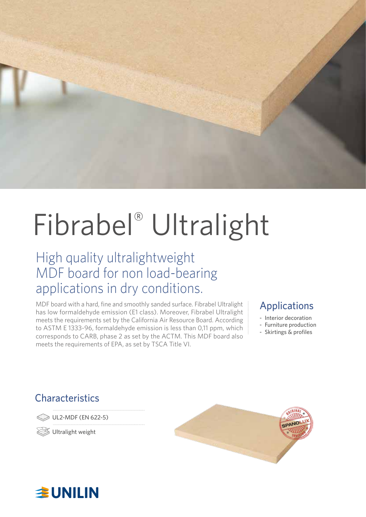

# Fibrabel® Ultralight

### High quality ultralightweight MDF board for non load-bearing applications in dry conditions.

MDF board with a hard, fine and smoothly sanded surface. Fibrabel Ultralight has low formaldehyde emission (E1 class). Moreover, Fibrabel Ultralight meets the requirements set by the California Air Resource Board. According to ASTM E 1333-96, formaldehyde emission is less than 0,11 ppm, which corresponds to CARB, phase 2 as set by the ACTM. This MDF board also meets the requirements of EPA, as set by TSCA Title VI.

### Applications

- Interior decoration
- Furniture production
- Skirtings & profiles

### **Characteristics**

UL2-MDF (EN 622-5)

Ultralight weight